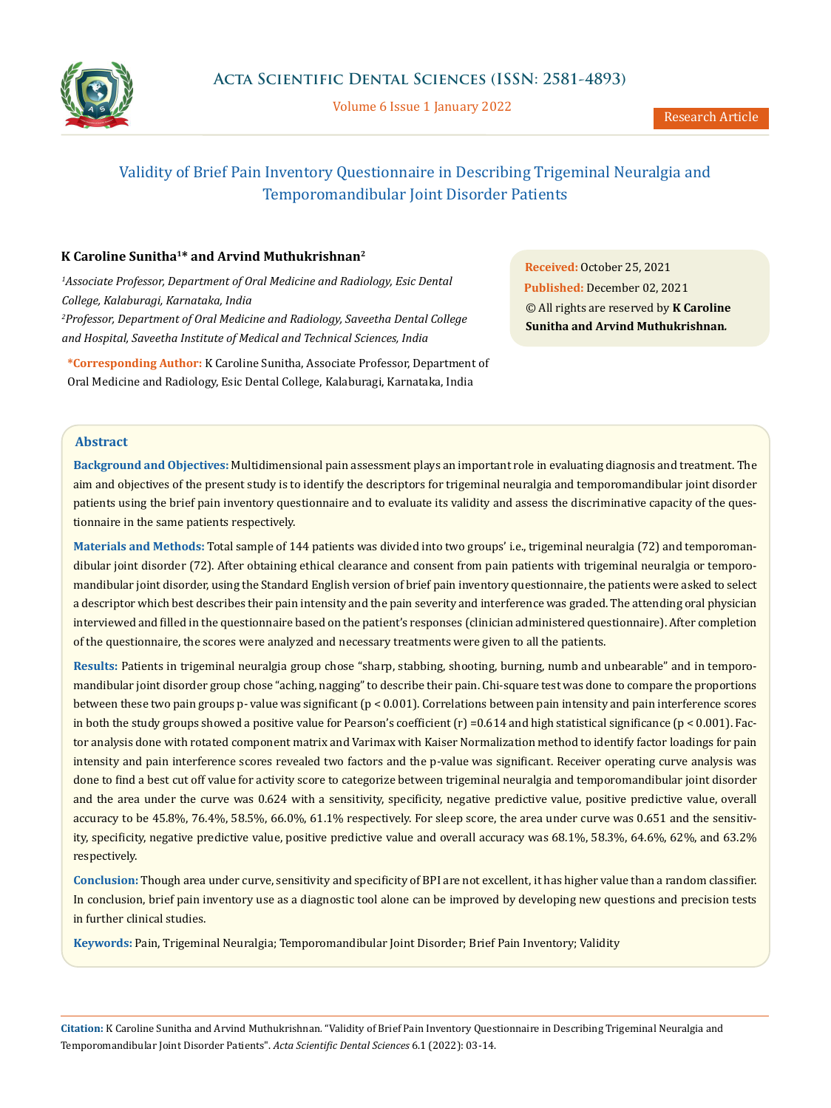

Volume 6 Issue 1 January 2022

# Validity of Brief Pain Inventory Questionnaire in Describing Trigeminal Neuralgia and Temporomandibular Joint Disorder Patients

# **K Caroline Sunitha1\* and Arvind Muthukrishnan2**

*1 Associate Professor, Department of Oral Medicine and Radiology, Esic Dental College, Kalaburagi, Karnataka, India 2 Professor, Department of Oral Medicine and Radiology, Saveetha Dental College and Hospital, Saveetha Institute of Medical and Technical Sciences, India*

**\*Corresponding Author:** K Caroline Sunitha, Associate Professor, Department of Oral Medicine and Radiology, Esic Dental College, Kalaburagi, Karnataka, India

**Received:** October 25, 2021 **Published:** December 02, 2021 © All rights are reserved by **K Caroline Sunitha and Arvind Muthukrishnan***.*

### **Abstract**

**Background and Objectives:** Multidimensional pain assessment plays an important role in evaluating diagnosis and treatment. The aim and objectives of the present study is to identify the descriptors for trigeminal neuralgia and temporomandibular joint disorder patients using the brief pain inventory questionnaire and to evaluate its validity and assess the discriminative capacity of the questionnaire in the same patients respectively.

**Materials and Methods:** Total sample of 144 patients was divided into two groups' i.e., trigeminal neuralgia (72) and temporomandibular joint disorder (72). After obtaining ethical clearance and consent from pain patients with trigeminal neuralgia or temporomandibular joint disorder, using the Standard English version of brief pain inventory questionnaire, the patients were asked to select a descriptor which best describes their pain intensity and the pain severity and interference was graded. The attending oral physician interviewed and filled in the questionnaire based on the patient's responses (clinician administered questionnaire). After completion of the questionnaire, the scores were analyzed and necessary treatments were given to all the patients.

**Results:** Patients in trigeminal neuralgia group chose "sharp, stabbing, shooting, burning, numb and unbearable" and in temporomandibular joint disorder group chose "aching, nagging" to describe their pain. Chi-square test was done to compare the proportions between these two pain groups p- value was significant (p < 0.001). Correlations between pain intensity and pain interference scores in both the study groups showed a positive value for Pearson's coefficient  $(r) = 0.614$  and high statistical significance  $(p < 0.001)$ . Factor analysis done with rotated component matrix and Varimax with Kaiser Normalization method to identify factor loadings for pain intensity and pain interference scores revealed two factors and the p-value was significant. Receiver operating curve analysis was done to find a best cut off value for activity score to categorize between trigeminal neuralgia and temporomandibular joint disorder and the area under the curve was 0.624 with a sensitivity, specificity, negative predictive value, positive predictive value, overall accuracy to be 45.8%, 76.4%, 58.5%, 66.0%, 61.1% respectively. For sleep score, the area under curve was 0.651 and the sensitivity, specificity, negative predictive value, positive predictive value and overall accuracy was 68.1%, 58.3%, 64.6%, 62%, and 63.2% respectively.

**Conclusion:** Though area under curve, sensitivity and specificity of BPI are not excellent, it has higher value than a random classifier. In conclusion, brief pain inventory use as a diagnostic tool alone can be improved by developing new questions and precision tests in further clinical studies.

**Keywords:** Pain, Trigeminal Neuralgia; Temporomandibular Joint Disorder; Brief Pain Inventory; Validity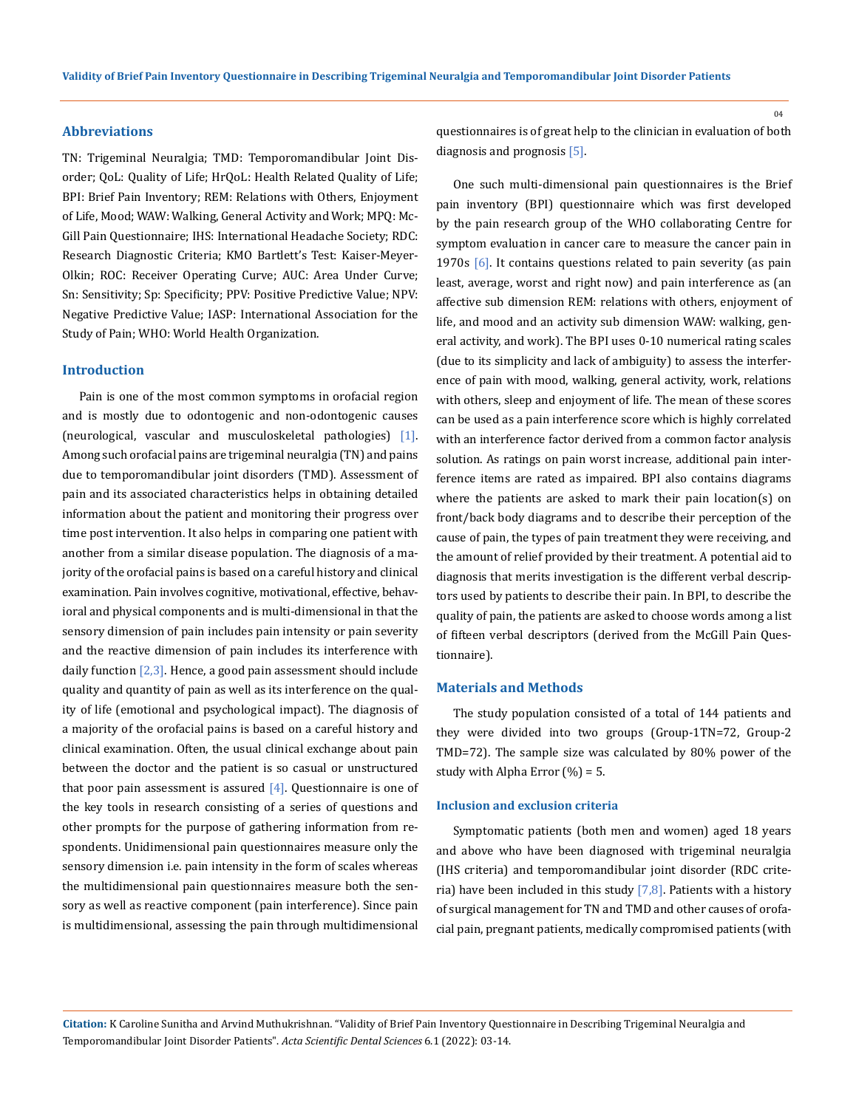#### **Abbreviations**

TN: Trigeminal Neuralgia; TMD: Temporomandibular Joint Disorder; QoL: Quality of Life; HrQoL: Health Related Quality of Life; BPI: Brief Pain Inventory; REM: Relations with Others, Enjoyment of Life, Mood; WAW: Walking, General Activity and Work; MPQ: Mc-Gill Pain Questionnaire; IHS: International Headache Society; RDC: Research Diagnostic Criteria; KMO Bartlett's Test: Kaiser-Meyer-Olkin; ROC: Receiver Operating Curve; AUC: Area Under Curve; Sn: Sensitivity; Sp: Specificity; PPV: Positive Predictive Value; NPV: Negative Predictive Value; IASP: International Association for the Study of Pain; WHO: World Health Organization.

### **Introduction**

Pain is one of the most common symptoms in orofacial region and is mostly due to odontogenic and non-odontogenic causes (neurological, vascular and musculoskeletal pathologies) [1]. Among such orofacial pains are trigeminal neuralgia (TN) and pains due to temporomandibular joint disorders (TMD). Assessment of pain and its associated characteristics helps in obtaining detailed information about the patient and monitoring their progress over time post intervention. It also helps in comparing one patient with another from a similar disease population. The diagnosis of a majority of the orofacial pains is based on a careful history and clinical examination. Pain involves cognitive, motivational, effective, behavioral and physical components and is multi-dimensional in that the sensory dimension of pain includes pain intensity or pain severity and the reactive dimension of pain includes its interference with daily function  $[2,3]$ . Hence, a good pain assessment should include quality and quantity of pain as well as its interference on the quality of life (emotional and psychological impact). The diagnosis of a majority of the orofacial pains is based on a careful history and clinical examination. Often, the usual clinical exchange about pain between the doctor and the patient is so casual or unstructured that poor pain assessment is assured  $[4]$ . Questionnaire is one of the key tools in research consisting of a series of questions and other prompts for the purpose of gathering information from respondents. Unidimensional pain questionnaires measure only the sensory dimension i.e. pain intensity in the form of scales whereas the multidimensional pain questionnaires measure both the sensory as well as reactive component (pain interference). Since pain is multidimensional, assessing the pain through multidimensional

questionnaires is of great help to the clinician in evaluation of both diagnosis and prognosis [5].

One such multi-dimensional pain questionnaires is the Brief pain inventory (BPI) questionnaire which was first developed by the pain research group of the WHO collaborating Centre for symptom evaluation in cancer care to measure the cancer pain in 1970s  $\lceil 6 \rceil$ . It contains questions related to pain severity (as pain least, average, worst and right now) and pain interference as (an affective sub dimension REM: relations with others, enjoyment of life, and mood and an activity sub dimension WAW: walking, general activity, and work). The BPI uses 0-10 numerical rating scales (due to its simplicity and lack of ambiguity) to assess the interference of pain with mood, walking, general activity, work, relations with others, sleep and enjoyment of life. The mean of these scores can be used as a pain interference score which is highly correlated with an interference factor derived from a common factor analysis solution. As ratings on pain worst increase, additional pain interference items are rated as impaired. BPI also contains diagrams where the patients are asked to mark their pain location(s) on front/back body diagrams and to describe their perception of the cause of pain, the types of pain treatment they were receiving, and the amount of relief provided by their treatment. A potential aid to diagnosis that merits investigation is the different verbal descriptors used by patients to describe their pain. In BPI, to describe the quality of pain, the patients are asked to choose words among a list of fifteen verbal descriptors (derived from the McGill Pain Questionnaire).

#### **Materials and Methods**

The study population consisted of a total of 144 patients and they were divided into two groups (Group-1TN=72, Group-2 TMD=72). The sample size was calculated by 80% power of the study with Alpha Error  $(\%) = 5$ .

### **Inclusion and exclusion criteria**

Symptomatic patients (both men and women) aged 18 years and above who have been diagnosed with trigeminal neuralgia (IHS criteria) and temporomandibular joint disorder (RDC criteria) have been included in this study  $[7,8]$ . Patients with a history of surgical management for TN and TMD and other causes of orofacial pain, pregnant patients, medically compromised patients (with

**Citation:** K Caroline Sunitha and Arvind Muthukrishnan*.* "Validity of Brief Pain Inventory Questionnaire in Describing Trigeminal Neuralgia and Temporomandibular Joint Disorder Patients". *Acta Scientific Dental Sciences* 6.1 (2022): 03-14.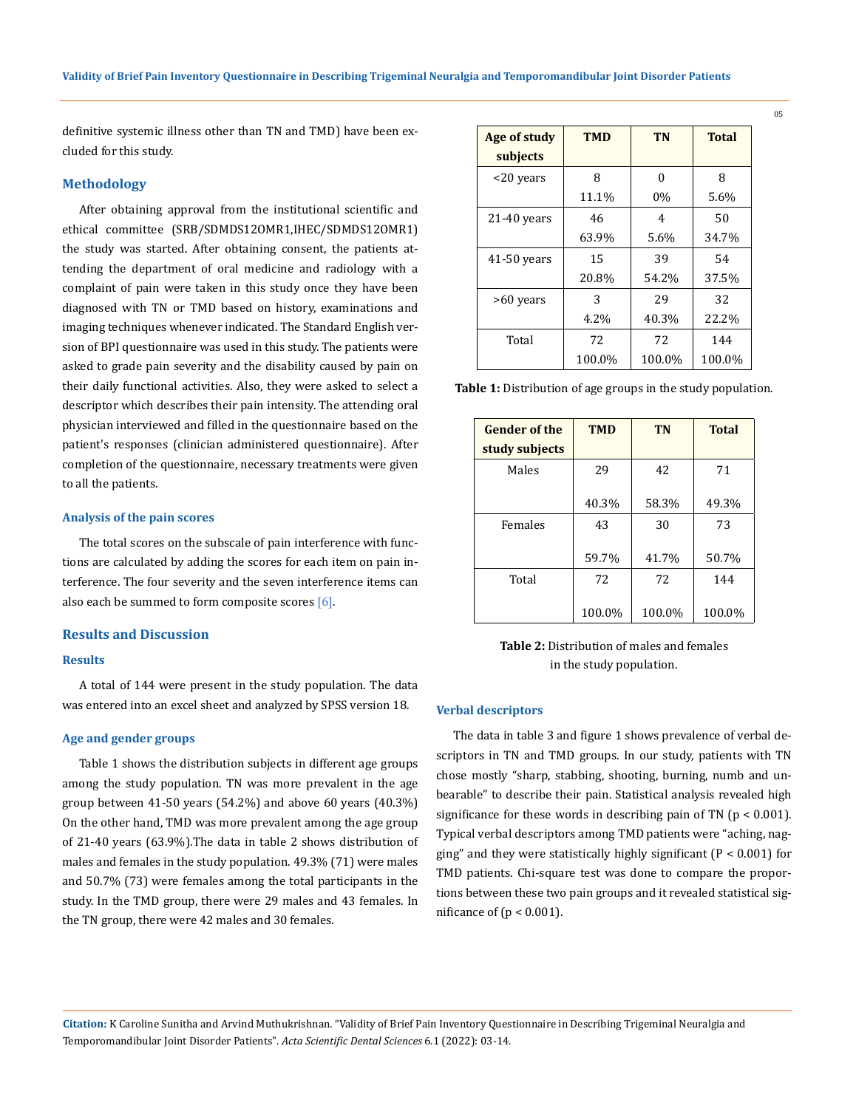definitive systemic illness other than TN and TMD) have been excluded for this study.

### **Methodology**

After obtaining approval from the institutional scientific and ethical committee (SRB/SDMDS12OMR1,IHEC/SDMDS12OMR1) the study was started. After obtaining consent, the patients attending the department of oral medicine and radiology with a complaint of pain were taken in this study once they have been diagnosed with TN or TMD based on history, examinations and imaging techniques whenever indicated. The Standard English version of BPI questionnaire was used in this study. The patients were asked to grade pain severity and the disability caused by pain on their daily functional activities. Also, they were asked to select a descriptor which describes their pain intensity. The attending oral physician interviewed and filled in the questionnaire based on the patient's responses (clinician administered questionnaire). After completion of the questionnaire, necessary treatments were given to all the patients.

#### **Analysis of the pain scores**

The total scores on the subscale of pain interference with functions are calculated by adding the scores for each item on pain interference. The four severity and the seven interference items can also each be summed to form composite scores  $[6]$ .

#### **Results and Discussion**

#### **Results**

A total of 144 were present in the study population. The data was entered into an excel sheet and analyzed by SPSS version 18.

### **Age and gender groups**

Table 1 shows the distribution subjects in different age groups among the study population. TN was more prevalent in the age group between 41-50 years (54.2%) and above 60 years (40.3%) On the other hand, TMD was more prevalent among the age group of 21-40 years (63.9%).The data in table 2 shows distribution of males and females in the study population. 49.3% (71) were males and 50.7% (73) were females among the total participants in the study. In the TMD group, there were 29 males and 43 females. In the TN group, there were 42 males and 30 females.

| Age of study  | <b>TMD</b> | TN     | <b>Total</b> |
|---------------|------------|--------|--------------|
| subjects      |            |        |              |
| <20 years     | 8          | O      | 8            |
|               | 11.1%      | $0\%$  | 5.6%         |
| $21-40$ years | 46         | 4      | 50           |
|               | 63.9%      | 5.6%   | 34.7%        |
| $41-50$ years | 15         | 39     | 54           |
|               | 20.8%      | 54.2%  | 37.5%        |
| >60 years     | 3          | 29     | 32           |
|               | 4.2%       | 40.3%  | 22.2%        |
| Total         | 72         | 72     | 144          |
|               | 100.0%     | 100.0% | 100.0%       |

**Table 1:** Distribution of age groups in the study population.

| <b>Gender of the</b> | <b>TMD</b> | <b>TN</b> | <b>Total</b> |
|----------------------|------------|-----------|--------------|
| study subjects       |            |           |              |
| Males                | 29         | 42        | 71           |
|                      | 40.3%      | 58.3%     | 49.3%        |
| Females              | 43         | 30        | 73           |
|                      | 59.7%      | 41.7%     | 50.7%        |
| Total                | 72         | 72        | 144          |
|                      | 100.0%     | 100.0%    | 100.0%       |

**Table 2:** Distribution of males and females in the study population.

#### **Verbal descriptors**

The data in table 3 and figure 1 shows prevalence of verbal descriptors in TN and TMD groups. In our study, patients with TN chose mostly "sharp, stabbing, shooting, burning, numb and unbearable" to describe their pain. Statistical analysis revealed high significance for these words in describing pain of TN ( $p < 0.001$ ). Typical verbal descriptors among TMD patients were "aching, nagging" and they were statistically highly significant ( $P < 0.001$ ) for TMD patients. Chi-square test was done to compare the proportions between these two pain groups and it revealed statistical significance of ( $p < 0.001$ ).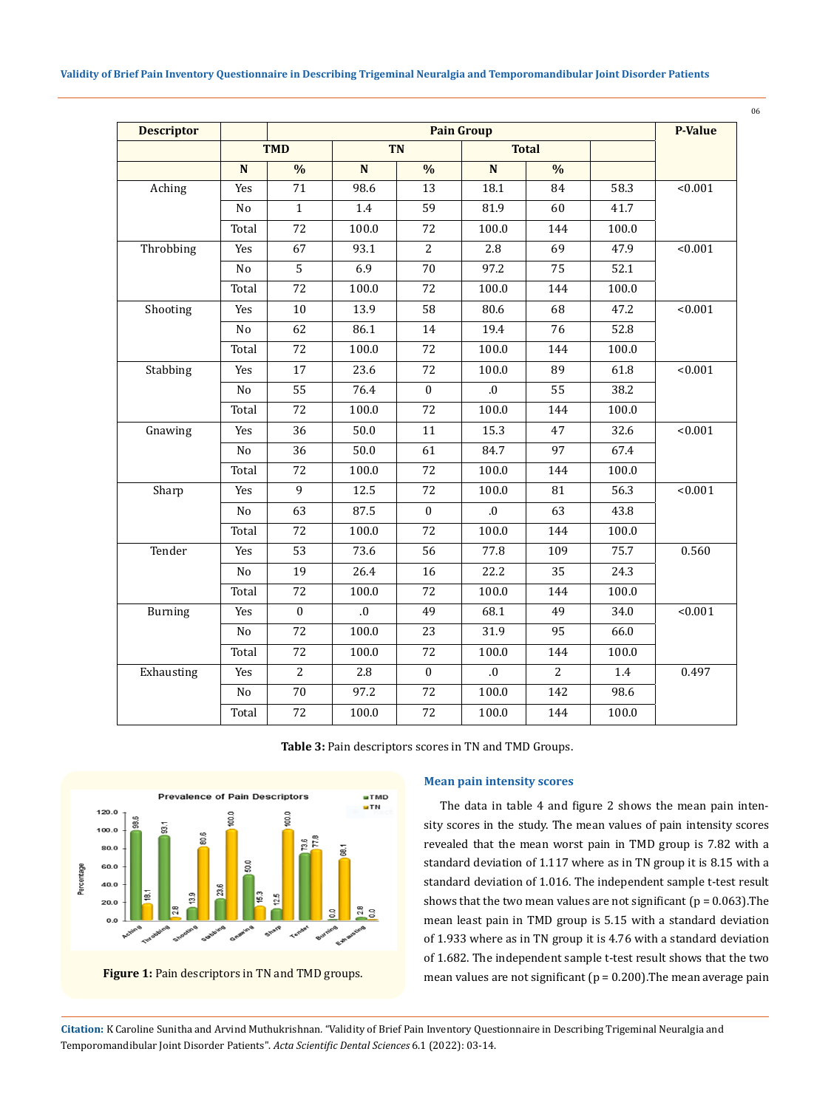| <b>Descriptor</b> |             | <b>Pain Group</b> |              |                |              |                |       | <b>P-Value</b> |
|-------------------|-------------|-------------------|--------------|----------------|--------------|----------------|-------|----------------|
|                   |             | <b>TMD</b>        | <b>TN</b>    |                | <b>Total</b> |                |       |                |
|                   | $\mathbf N$ | $\frac{0}{0}$     | ${\bf N}$    | $\frac{0}{0}$  | $\mathbf N$  | $\frac{0}{0}$  |       |                |
| Aching            | Yes         | 71                | 98.6         | 13             | 18.1         | 84             | 58.3  | < 0.001        |
|                   | No          | $\mathbf{1}$      | 1.4          | 59             | 81.9         | 60             | 41.7  |                |
|                   | Total       | 72                | 100.0        | 72             | 100.0        | 144            | 100.0 |                |
| Throbbing         | Yes         | 67                | 93.1         | $\overline{2}$ | 2.8          | 69             | 47.9  | < 0.001        |
|                   | No          | 5                 | 6.9          | 70             | 97.2         | 75             | 52.1  |                |
|                   | Total       | 72                | 100.0        | 72             | 100.0        | 144            | 100.0 |                |
| Shooting          | Yes         | $10\,$            | 13.9         | 58             | 80.6         | 68             | 47.2  | < 0.001        |
|                   | No          | 62                | 86.1         | 14             | 19.4         | 76             | 52.8  |                |
|                   | Total       | 72                | 100.0        | 72             | 100.0        | 144            | 100.0 |                |
| Stabbing          | Yes         | 17                | 23.6         | 72             | 100.0        | 89             | 61.8  | < 0.001        |
|                   | No          | 55                | 76.4         | $\mathbf{0}$   | 0.           | 55             | 38.2  |                |
|                   | Total       | 72                | 100.0        | 72             | 100.0        | 144            | 100.0 |                |
| Gnawing           | Yes         | 36                | 50.0         | 11             | 15.3         | 47             | 32.6  | < 0.001        |
|                   | No          | 36                | 50.0         | 61             | 84.7         | 97             | 67.4  |                |
|                   | Total       | 72                | 100.0        | 72             | 100.0        | 144            | 100.0 |                |
| Sharp             | Yes         | $\mathbf{9}$      | 12.5         | 72             | 100.0        | 81             | 56.3  | < 0.001        |
|                   | No          | 63                | 87.5         | $\mathbf{0}$   | 0.           | 63             | 43.8  |                |
|                   | Total       | 72                | 100.0        | 72             | 100.0        | 144            | 100.0 |                |
| Tender            | Yes         | 53                | 73.6         | 56             | 77.8         | 109            | 75.7  | 0.560          |
|                   | No          | 19                | 26.4         | 16             | 22.2         | 35             | 24.3  |                |
|                   | Total       | 72                | 100.0        | 72             | 100.0        | 144            | 100.0 |                |
| Burning           | Yes         | $\mathbf{0}$      | $\mathbf{0}$ | 49             | 68.1         | 49             | 34.0  | < 0.001        |
|                   | $\rm No$    | 72                | 100.0        | 23             | 31.9         | 95             | 66.0  |                |
|                   | Total       | 72                | 100.0        | 72             | 100.0        | 144            | 100.0 |                |
| Exhausting        | Yes         | 2                 | 2.8          | $\mathbf{0}$   | $.0\,$       | $\overline{2}$ | 1.4   | 0.497          |
|                   | No          | $70\,$            | 97.2         | 72             | 100.0        | 142            | 98.6  |                |
|                   | Total       | 72                | 100.0        | 72             | 100.0        | 144            | 100.0 |                |

**Table 3:** Pain descriptors scores in TN and TMD Groups.



### **Mean pain intensity scores**

The data in table 4 and figure 2 shows the mean pain intensity scores in the study. The mean values of pain intensity scores revealed that the mean worst pain in TMD group is 7.82 with a standard deviation of 1.117 where as in TN group it is 8.15 with a standard deviation of 1.016. The independent sample t-test result shows that the two mean values are not significant ( $p = 0.063$ ). The mean least pain in TMD group is 5.15 with a standard deviation of 1.933 where as in TN group it is 4.76 with a standard deviation of 1.682. The independent sample t-test result shows that the two mean values are not significant (p = 0.200).The mean average pain

**Citation:** K Caroline Sunitha and Arvind Muthukrishnan*.* "Validity of Brief Pain Inventory Questionnaire in Describing Trigeminal Neuralgia and Temporomandibular Joint Disorder Patients". *Acta Scientific Dental Sciences* 6.1 (2022): 03-14.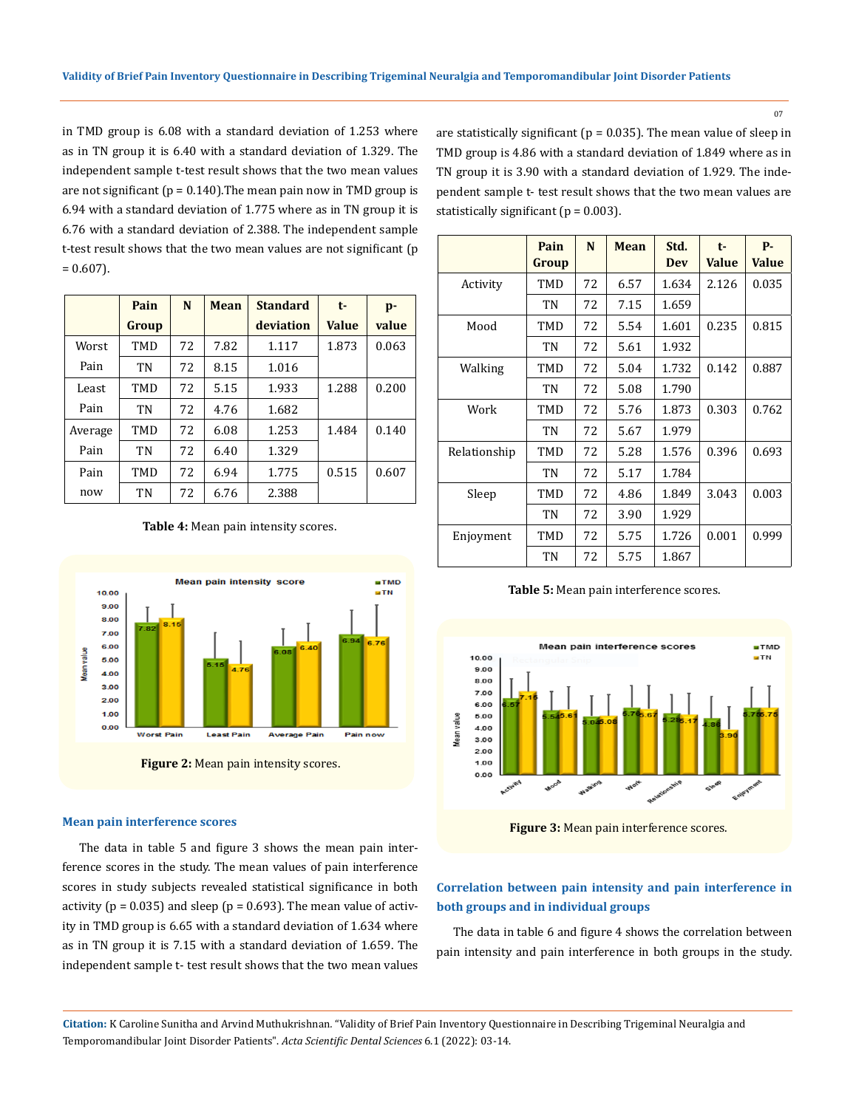in TMD group is 6.08 with a standard deviation of 1.253 where as in TN group it is 6.40 with a standard deviation of 1.329. The independent sample t-test result shows that the two mean values are not significant ( $p = 0.140$ ). The mean pain now in TMD group is 6.94 with a standard deviation of 1.775 where as in TN group it is 6.76 with a standard deviation of 2.388. The independent sample t-test result shows that the two mean values are not significant (p  $= 0.607$ ).

|         | Pain  | N  | <b>Mean</b> | <b>Standard</b> | t-           | p-    |
|---------|-------|----|-------------|-----------------|--------------|-------|
|         | Group |    |             | deviation       | <b>Value</b> | value |
| Worst   | TMD   | 72 | 7.82        | 1.117           | 1.873        | 0.063 |
| Pain    | TN    | 72 | 8.15        | 1.016           |              |       |
| Least   | TMD   | 72 | 5.15        | 1.933           | 1.288        | 0.200 |
| Pain    | TN    | 72 | 4.76        | 1.682           |              |       |
| Average | TMD   | 72 | 6.08        | 1.253           | 1.484        | 0.140 |
| Pain    | TN    | 72 | 6.40        | 1.329           |              |       |
| Pain    | TMD   | 72 | 6.94        | 1.775           | 0.515        | 0.607 |
| now     | TN    | 72 | 6.76        | 2.388           |              |       |

**Table 4:** Mean pain intensity scores.



#### **Mean pain interference scores**

The data in table 5 and figure 3 shows the mean pain interference scores in the study. The mean values of pain interference scores in study subjects revealed statistical significance in both activity ( $p = 0.035$ ) and sleep ( $p = 0.693$ ). The mean value of activity in TMD group is 6.65 with a standard deviation of 1.634 where as in TN group it is 7.15 with a standard deviation of 1.659. The independent sample t- test result shows that the two mean values are statistically significant ( $p = 0.035$ ). The mean value of sleep in TMD group is 4.86 with a standard deviation of 1.849 where as in TN group it is 3.90 with a standard deviation of 1.929. The independent sample t- test result shows that the two mean values are statistically significant ( $p = 0.003$ ).

|              | Pain<br>Group | N  | Mean | Std.<br>Dev | $t-$<br><b>Value</b> | P-<br>Value |
|--------------|---------------|----|------|-------------|----------------------|-------------|
| Activity     | TMD           | 72 | 6.57 | 1.634       | 2.126                | 0.035       |
|              | TN            | 72 | 7.15 | 1.659       |                      |             |
| Mood         | TMD           | 72 | 5.54 | 1.601       | 0.235                | 0.815       |
|              | TN            | 72 | 5.61 | 1.932       |                      |             |
| Walking      | TMD           | 72 | 5.04 | 1.732       | 0.142                | 0.887       |
|              | TN            | 72 | 5.08 | 1.790       |                      |             |
| Work         | TMD           | 72 | 5.76 | 1.873       | 0.303                | 0.762       |
|              | TN            | 72 | 5.67 | 1.979       |                      |             |
| Relationship | TMD           | 72 | 5.28 | 1.576       | 0.396                | 0.693       |
|              | TN            | 72 | 5.17 | 1.784       |                      |             |
| Sleep        | TMD           | 72 | 4.86 | 1.849       | 3.043                | 0.003       |
|              | TN            | 72 | 3.90 | 1.929       |                      |             |
| Enjoyment    | TMD           | 72 | 5.75 | 1.726       | 0.001                | 0.999       |
|              | <b>TN</b>     | 72 | 5.75 | 1.867       |                      |             |

**Table 5:** Mean pain interference scores.



**Figure 3:** Mean pain interference scores.

# **Correlation between pain intensity and pain interference in both groups and in individual groups**

The data in table 6 and figure 4 shows the correlation between pain intensity and pain interference in both groups in the study.

**Citation:** K Caroline Sunitha and Arvind Muthukrishnan*.* "Validity of Brief Pain Inventory Questionnaire in Describing Trigeminal Neuralgia and Temporomandibular Joint Disorder Patients". *Acta Scientific Dental Sciences* 6.1 (2022): 03-14.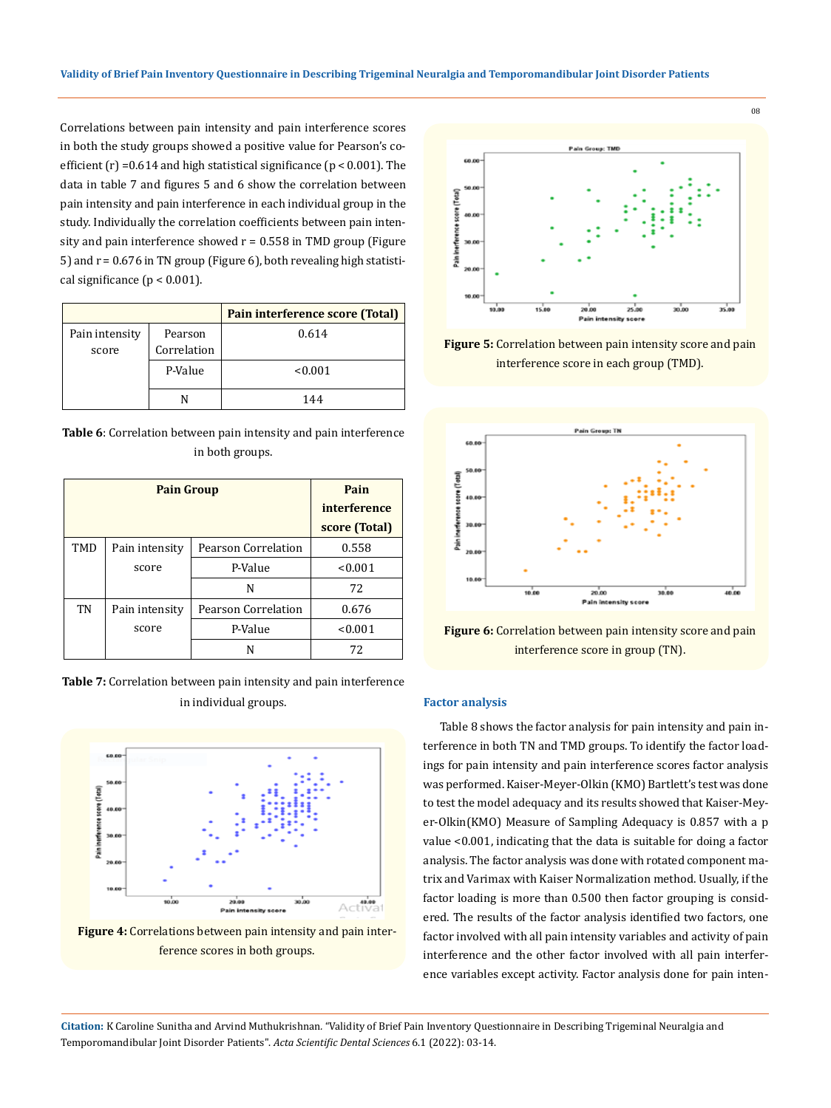Correlations between pain intensity and pain interference scores in both the study groups showed a positive value for Pearson's coefficient  $(r)$  =0.614 and high statistical significance  $(p < 0.001)$ . The data in table 7 and figures 5 and 6 show the correlation between pain intensity and pain interference in each individual group in the study. Individually the correlation coefficients between pain intensity and pain interference showed  $r = 0.558$  in TMD group (Figure 5) and r = 0.676 in TN group (Figure 6), both revealing high statistical significance  $(p < 0.001)$ .

|                |             | Pain interference score (Total) |
|----------------|-------------|---------------------------------|
| Pain intensity | Pearson     | 0.614                           |
| score          | Correlation |                                 |
|                | P-Value     | < 0.001                         |
|                |             | 144                             |

**Table 6**: Correlation between pain intensity and pain interference in both groups.

|     | <b>Pain Group</b> | Pain                |               |
|-----|-------------------|---------------------|---------------|
|     |                   | interference        |               |
|     |                   |                     | score (Total) |
| TMD | Pain intensity    | Pearson Correlation | 0.558         |
|     | score             | P-Value             | < 0.001       |
|     |                   | N                   | 72            |
| TN  | Pain intensity    | Pearson Correlation | 0.676         |
|     | score             | P-Value             | < 0.001       |
|     |                   | N                   | 72            |

**Table 7:** Correlation between pain intensity and pain interference in individual groups.



**Figure 4:** Correlations between pain intensity and pain interference scores in both groups.



**Figure 5:** Correlation between pain intensity score and pain interference score in each group (TMD).



**Figure 6:** Correlation between pain intensity score and pain interference score in group (TN).

### **Factor analysis**

Table 8 shows the factor analysis for pain intensity and pain interference in both TN and TMD groups. To identify the factor loadings for pain intensity and pain interference scores factor analysis was performed. Kaiser-Meyer-Olkin (KMO) Bartlett's test was done to test the model adequacy and its results showed that Kaiser-Meyer-Olkin(KMO) Measure of Sampling Adequacy is 0.857 with a p value <0.001, indicating that the data is suitable for doing a factor analysis. The factor analysis was done with rotated component matrix and Varimax with Kaiser Normalization method. Usually, if the factor loading is more than 0.500 then factor grouping is considered. The results of the factor analysis identified two factors, one factor involved with all pain intensity variables and activity of pain interference and the other factor involved with all pain interference variables except activity. Factor analysis done for pain inten-

**Citation:** K Caroline Sunitha and Arvind Muthukrishnan*.* "Validity of Brief Pain Inventory Questionnaire in Describing Trigeminal Neuralgia and Temporomandibular Joint Disorder Patients". *Acta Scientific Dental Sciences* 6.1 (2022): 03-14.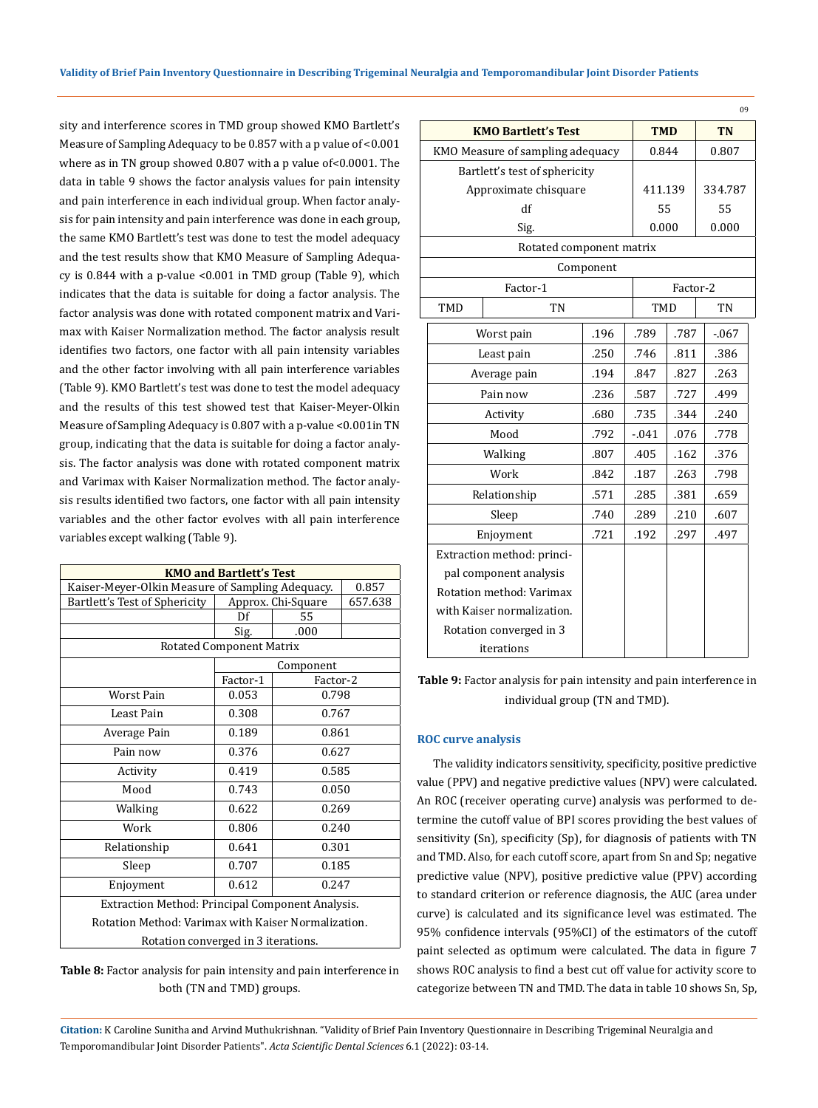sity and interference scores in TMD group showed KMO Bartlett's Measure of Sampling Adequacy to be 0.857 with a p value of <0.001 where as in TN group showed 0.807 with a p value of<0.0001. The data in table 9 shows the factor analysis values for pain intensity and pain interference in each individual group. When factor analysis for pain intensity and pain interference was done in each group, the same KMO Bartlett's test was done to test the model adequacy and the test results show that KMO Measure of Sampling Adequacy is 0.844 with a p-value <0.001 in TMD group (Table 9), which indicates that the data is suitable for doing a factor analysis. The factor analysis was done with rotated component matrix and Varimax with Kaiser Normalization method. The factor analysis result identifies two factors, one factor with all pain intensity variables and the other factor involving with all pain interference variables (Table 9). KMO Bartlett's test was done to test the model adequacy and the results of this test showed test that Kaiser-Meyer-Olkin Measure of Sampling Adequacy is 0.807 with a p-value <0.001in TN group, indicating that the data is suitable for doing a factor analysis. The factor analysis was done with rotated component matrix and Varimax with Kaiser Normalization method. The factor analysis results identified two factors, one factor with all pain intensity variables and the other factor evolves with all pain interference variables except walking (Table 9).

| <b>KMO and Bartlett's Test</b>                          |                                                     |                    |         |  |  |  |
|---------------------------------------------------------|-----------------------------------------------------|--------------------|---------|--|--|--|
| Kaiser-Meyer-Olkin Measure of Sampling Adequacy.        |                                                     |                    | 0.857   |  |  |  |
| Bartlett's Test of Sphericity                           |                                                     | Approx. Chi-Square | 657.638 |  |  |  |
|                                                         | Df                                                  | 55                 |         |  |  |  |
|                                                         | Sig.                                                | .000               |         |  |  |  |
|                                                         | <b>Rotated Component Matrix</b>                     |                    |         |  |  |  |
|                                                         |                                                     | Component          |         |  |  |  |
|                                                         | Factor-1                                            | Factor-2           |         |  |  |  |
| Worst Pain                                              | 0.053                                               | 0.798              |         |  |  |  |
| Least Pain                                              | 0.308<br>0.767                                      |                    |         |  |  |  |
| Average Pain                                            | 0.189                                               | 0.861              |         |  |  |  |
| Pain now                                                | 0.376                                               | 0.627              |         |  |  |  |
| Activity                                                | 0.419                                               | 0.585              |         |  |  |  |
| Mood                                                    | 0.743                                               | 0.050              |         |  |  |  |
| Walking                                                 | 0.622                                               | 0.269              |         |  |  |  |
| Work                                                    | 0.806                                               | 0.240              |         |  |  |  |
| Relationship                                            | 0.641                                               | 0.301              |         |  |  |  |
| Sleep                                                   | 0.707                                               | 0.185              |         |  |  |  |
| Enjoyment                                               | 0.612                                               | 0.247              |         |  |  |  |
| <b>Extraction Method: Principal Component Analysis.</b> |                                                     |                    |         |  |  |  |
|                                                         | Rotation Method: Varimax with Kaiser Normalization. |                    |         |  |  |  |
| Rotation converged in 3 iterations.                     |                                                     |                    |         |  |  |  |

**Table 8:** Factor analysis for pain intensity and pain interference in both (TN and TMD) groups.

|  |                                                    | <b>KMO Bartlett's Test</b>       | <b>TMD</b> |         |                  | <b>TN</b> |        |
|--|----------------------------------------------------|----------------------------------|------------|---------|------------------|-----------|--------|
|  |                                                    | KMO Measure of sampling adequacy |            | 0.844   |                  |           | 0.807  |
|  |                                                    | Bartlett's test of sphericity    |            |         |                  |           |        |
|  | Approximate chisquare                              | 411.139                          |            |         | 334.787          |           |        |
|  |                                                    | df                               |            | 55      |                  |           | 55     |
|  |                                                    | Sig.                             |            | 0.000   |                  |           | 0.000  |
|  |                                                    | Rotated component matrix         |            |         |                  |           |        |
|  |                                                    |                                  | Component  |         |                  |           |        |
|  |                                                    | Factor-1                         |            |         | Factor-2         |           |        |
|  | <b>TMD</b>                                         | TN                               |            |         | <b>TMD</b><br>TN |           |        |
|  |                                                    | Worst pain                       | .196       | .789    | .787             |           | $-067$ |
|  | Least pain<br>Average pain<br>Pain now<br>Activity |                                  | .250       | .746    | .811             |           | .386   |
|  |                                                    |                                  | .194       | .847    | .827             |           | .263   |
|  |                                                    |                                  | .236       | .587    | .727             |           | .499   |
|  |                                                    |                                  | .680       | .735    | .344             |           | .240   |
|  |                                                    | Mood                             | .792       | $-.041$ | .076             |           | .778   |
|  |                                                    | Walking                          | .807       | .405    | .162             |           | .376   |
|  |                                                    | Work                             | .842       | .187    | .263             |           | .798   |
|  |                                                    | Relationship                     | .571       | .285    | .381             |           | .659   |
|  |                                                    | Sleep                            | .740       | .289    | .210             |           | .607   |
|  |                                                    | Enjoyment                        | .721       | .192    | .297             |           | .497   |
|  | Extraction method: princi-                         |                                  |            |         |                  |           |        |
|  | pal component analysis                             |                                  |            |         |                  |           |        |
|  | Rotation method: Varimax                           |                                  |            |         |                  |           |        |
|  |                                                    | with Kaiser normalization.       |            |         |                  |           |        |
|  |                                                    | Rotation converged in 3          |            |         |                  |           |        |
|  |                                                    | iterations                       |            |         |                  |           |        |

09

**Table 9:** Factor analysis for pain intensity and pain interference in individual group (TN and TMD).

#### **ROC curve analysis**

The validity indicators sensitivity, specificity, positive predictive value (PPV) and negative predictive values (NPV) were calculated. An ROC (receiver operating curve) analysis was performed to determine the cutoff value of BPI scores providing the best values of sensitivity (Sn), specificity (Sp), for diagnosis of patients with TN and TMD. Also, for each cutoff score, apart from Sn and Sp; negative predictive value (NPV), positive predictive value (PPV) according to standard criterion or reference diagnosis, the AUC (area under curve) is calculated and its significance level was estimated. The 95% confidence intervals (95%CI) of the estimators of the cutoff paint selected as optimum were calculated. The data in figure 7 shows ROC analysis to find a best cut off value for activity score to categorize between TN and TMD. The data in table 10 shows Sn, Sp,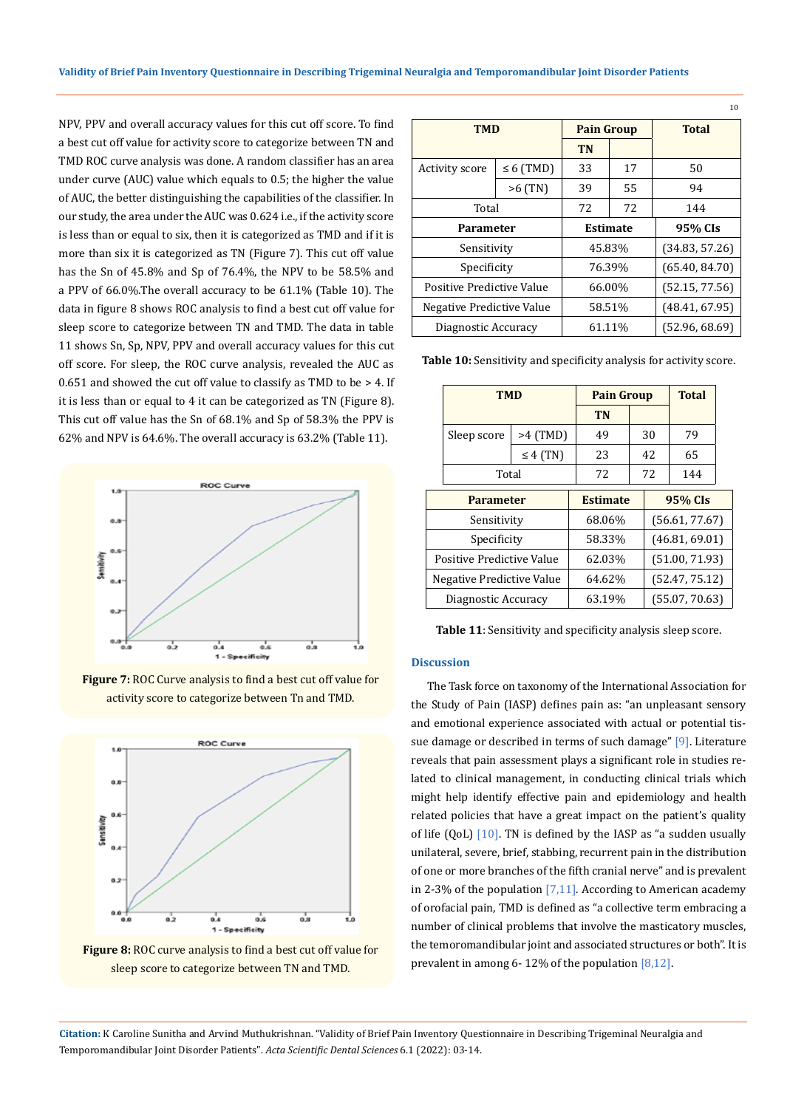NPV, PPV and overall accuracy values for this cut off score. To find a best cut off value for activity score to categorize between TN and TMD ROC curve analysis was done. A random classifier has an area under curve (AUC) value which equals to 0.5; the higher the value of AUC, the better distinguishing the capabilities of the classifier. In our study, the area under the AUC was 0.624 i.e., if the activity score is less than or equal to six, then it is categorized as TMD and if it is more than six it is categorized as TN (Figure 7). This cut off value has the Sn of 45.8% and Sp of 76.4%, the NPV to be 58.5% and a PPV of 66.0%.The overall accuracy to be 61.1% (Table 10). The data in figure 8 shows ROC analysis to find a best cut off value for sleep score to categorize between TN and TMD. The data in table 11 shows Sn, Sp, NPV, PPV and overall accuracy values for this cut off score. For sleep, the ROC curve analysis, revealed the AUC as  $0.651$  and showed the cut off value to classify as TMD to be  $> 4$ . If it is less than or equal to 4 it can be categorized as TN (Figure 8). This cut off value has the Sn of 68.1% and Sp of 58.3% the PPV is 62% and NPV is 64.6%. The overall accuracy is 63.2% (Table 11).



**Figure 7:** ROC Curve analysis to find a best cut off value for activity score to categorize between Tn and TMD.



**Figure 8:** ROC curve analysis to find a best cut off value for sleep score to categorize between TN and TMD.

| 10                        |                |                   |        |                |  |  |
|---------------------------|----------------|-------------------|--------|----------------|--|--|
| TMD                       |                | <b>Pain Group</b> |        | <b>Total</b>   |  |  |
|                           |                | <b>TN</b>         |        |                |  |  |
| Activity score            | $\leq 6$ (TMD) | 33                | 17     | 50             |  |  |
|                           | $>6$ (TN)      | 39                | 55     | 94             |  |  |
| Total                     |                | 72                | 72     | 144            |  |  |
| Parameter                 |                | <b>Estimate</b>   |        | 95% CIs        |  |  |
| Sensitivity               |                | 45.83%            |        | (34.83, 57.26) |  |  |
| Specificity               |                | 76.39%            |        | (65.40, 84.70) |  |  |
| Positive Predictive Value |                | 66.00%            |        | (52.15, 77.56) |  |  |
| Negative Predictive Value |                | 58.51%            |        | (48.41, 67.95) |  |  |
| Diagnostic Accuracy       |                |                   | 61.11% | (52.96, 68.69) |  |  |

**Table 10:** Sensitivity and specificity analysis for activity score.

|                  | <b>TMD</b>                |                 | <b>Pain Group</b> |  |         | <b>Total</b>   |  |
|------------------|---------------------------|-----------------|-------------------|--|---------|----------------|--|
|                  |                           |                 | <b>TN</b>         |  |         |                |  |
|                  | Sleep score               | $>4$ (TMD)      | 49                |  | 30      | 79             |  |
|                  |                           | $\leq 4$ (TN)   | 23                |  | 42.     | 65             |  |
|                  |                           | Total           |                   |  | 72      | 144            |  |
| <b>Parameter</b> |                           | <b>Estimate</b> |                   |  | 95% CIs |                |  |
|                  | Sensitivity               |                 | 68.06%            |  |         | (56.61, 77.67) |  |
|                  | Specificity               |                 | 58.33%            |  |         | (46.81, 69.01) |  |
|                  | Positive Predictive Value |                 | 62.03%            |  |         | (51.00, 71.93) |  |
|                  | Negative Predictive Value |                 | 64.62%            |  |         | (52.47, 75.12) |  |
|                  | Diagnostic Accuracy       |                 | 63.19%            |  |         | (55.07, 70.63) |  |

**Table 11**: Sensitivity and specificity analysis sleep score.

### **Discussion**

The Task force on taxonomy of the International Association for the Study of Pain (IASP) defines pain as: "an unpleasant sensory and emotional experience associated with actual or potential tissue damage or described in terms of such damage" [9]. Literature reveals that pain assessment plays a significant role in studies related to clinical management, in conducting clinical trials which might help identify effective pain and epidemiology and health related policies that have a great impact on the patient's quality of life (QoL)  $[10]$ . TN is defined by the IASP as "a sudden usually unilateral, severe, brief, stabbing, recurrent pain in the distribution of one or more branches of the fifth cranial nerve" and is prevalent in 2-3% of the population [7,11]. According to American academy of orofacial pain, TMD is defined as "a collective term embracing a number of clinical problems that involve the masticatory muscles, the temoromandibular joint and associated structures or both". It is prevalent in among 6- 12% of the population [8,12].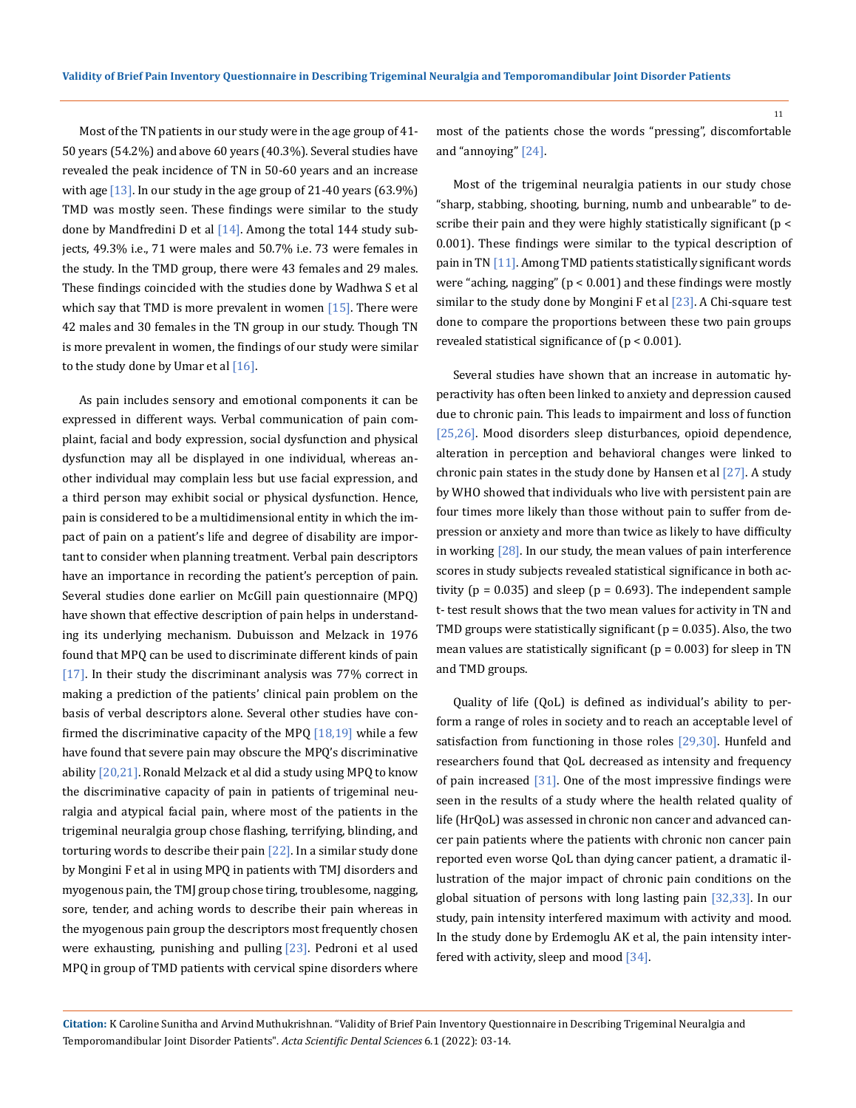Most of the TN patients in our study were in the age group of 41- 50 years (54.2%) and above 60 years (40.3%). Several studies have revealed the peak incidence of TN in 50-60 years and an increase with age  $[13]$ . In our study in the age group of 21-40 years (63.9%) TMD was mostly seen. These findings were similar to the study done by Mandfredini D et al  $[14]$ . Among the total 144 study subjects, 49.3% i.e., 71 were males and 50.7% i.e. 73 were females in the study. In the TMD group, there were 43 females and 29 males. These findings coincided with the studies done by Wadhwa S et al which say that TMD is more prevalent in women  $[15]$ . There were 42 males and 30 females in the TN group in our study. Though TN is more prevalent in women, the findings of our study were similar to the study done by Umar et al  $[16]$ .

As pain includes sensory and emotional components it can be expressed in different ways. Verbal communication of pain complaint, facial and body expression, social dysfunction and physical dysfunction may all be displayed in one individual, whereas another individual may complain less but use facial expression, and a third person may exhibit social or physical dysfunction. Hence, pain is considered to be a multidimensional entity in which the impact of pain on a patient's life and degree of disability are important to consider when planning treatment. Verbal pain descriptors have an importance in recording the patient's perception of pain. Several studies done earlier on McGill pain questionnaire (MPQ) have shown that effective description of pain helps in understanding its underlying mechanism. Dubuisson and Melzack in 1976 found that MPQ can be used to discriminate different kinds of pain [17]. In their study the discriminant analysis was 77% correct in making a prediction of the patients' clinical pain problem on the basis of verbal descriptors alone. Several other studies have confirmed the discriminative capacity of the MPQ  $[18,19]$  while a few have found that severe pain may obscure the MPQ's discriminative ability  $[20,21]$ . Ronald Melzack et al did a study using MPQ to know the discriminative capacity of pain in patients of trigeminal neuralgia and atypical facial pain, where most of the patients in the trigeminal neuralgia group chose flashing, terrifying, blinding, and torturing words to describe their pain [22]. In a similar study done by Mongini F et al in using MPQ in patients with TMJ disorders and myogenous pain, the TMJ group chose tiring, troublesome, nagging, sore, tender, and aching words to describe their pain whereas in the myogenous pain group the descriptors most frequently chosen were exhausting, punishing and pulling  $[23]$ . Pedroni et al used MPQ in group of TMD patients with cervical spine disorders where

most of the patients chose the words "pressing", discomfortable and "annoying" [24].

Most of the trigeminal neuralgia patients in our study chose "sharp, stabbing, shooting, burning, numb and unbearable" to describe their pain and they were highly statistically significant (p < 0.001). These findings were similar to the typical description of pain in TN [11]. Among TMD patients statistically significant words were "aching, nagging" ( $p < 0.001$ ) and these findings were mostly similar to the study done by Mongini F et al  $[23]$ . A Chi-square test done to compare the proportions between these two pain groups revealed statistical significance of (p < 0.001).

Several studies have shown that an increase in automatic hyperactivity has often been linked to anxiety and depression caused due to chronic pain. This leads to impairment and loss of function [25,26]. Mood disorders sleep disturbances, opioid dependence, alteration in perception and behavioral changes were linked to chronic pain states in the study done by Hansen et al  $[27]$ . A study by WHO showed that individuals who live with persistent pain are four times more likely than those without pain to suffer from depression or anxiety and more than twice as likely to have difficulty in working [28]. In our study, the mean values of pain interference scores in study subjects revealed statistical significance in both activity ( $p = 0.035$ ) and sleep ( $p = 0.693$ ). The independent sample t- test result shows that the two mean values for activity in TN and TMD groups were statistically significant ( $p = 0.035$ ). Also, the two mean values are statistically significant ( $p = 0.003$ ) for sleep in TN and TMD groups.

Quality of life (QoL) is defined as individual's ability to perform a range of roles in society and to reach an acceptable level of satisfaction from functioning in those roles [29,30]. Hunfeld and researchers found that QoL decreased as intensity and frequency of pain increased [31]. One of the most impressive findings were seen in the results of a study where the health related quality of life (HrQoL) was assessed in chronic non cancer and advanced cancer pain patients where the patients with chronic non cancer pain reported even worse QoL than dying cancer patient, a dramatic illustration of the major impact of chronic pain conditions on the global situation of persons with long lasting pain [32,33]. In our study, pain intensity interfered maximum with activity and mood. In the study done by Erdemoglu AK et al, the pain intensity interfered with activity, sleep and mood [34].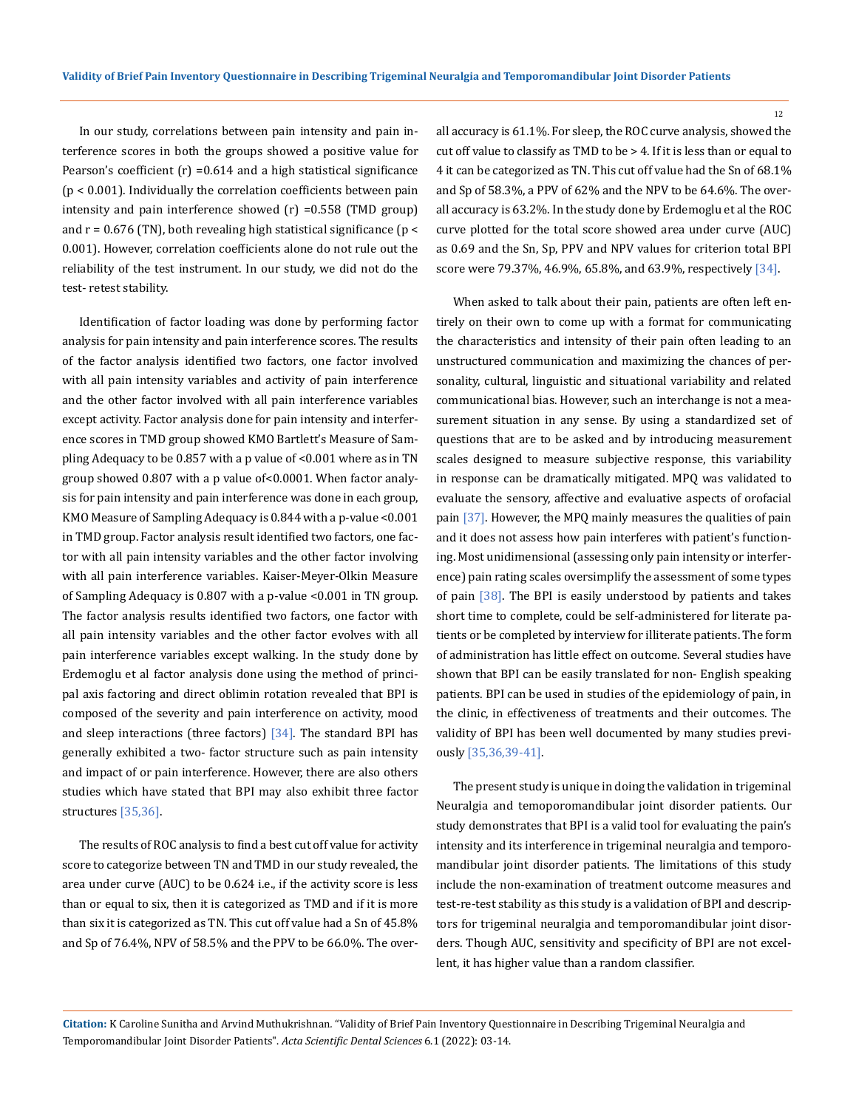In our study, correlations between pain intensity and pain interference scores in both the groups showed a positive value for Pearson's coefficient  $(r)$  =0.614 and a high statistical significance (p < 0.001). Individually the correlation coefficients between pain intensity and pain interference showed (r) =0.558 (TMD group) and  $r = 0.676$  (TN), both revealing high statistical significance ( $p <$ 0.001). However, correlation coefficients alone do not rule out the reliability of the test instrument. In our study, we did not do the test- retest stability.

Identification of factor loading was done by performing factor analysis for pain intensity and pain interference scores. The results of the factor analysis identified two factors, one factor involved with all pain intensity variables and activity of pain interference and the other factor involved with all pain interference variables except activity. Factor analysis done for pain intensity and interference scores in TMD group showed KMO Bartlett's Measure of Sampling Adequacy to be 0.857 with a p value of <0.001 where as in TN group showed 0.807 with a p value of<0.0001. When factor analysis for pain intensity and pain interference was done in each group, KMO Measure of Sampling Adequacy is 0.844 with a p-value <0.001 in TMD group. Factor analysis result identified two factors, one factor with all pain intensity variables and the other factor involving with all pain interference variables. Kaiser-Meyer-Olkin Measure of Sampling Adequacy is 0.807 with a p-value <0.001 in TN group. The factor analysis results identified two factors, one factor with all pain intensity variables and the other factor evolves with all pain interference variables except walking. In the study done by Erdemoglu et al factor analysis done using the method of principal axis factoring and direct oblimin rotation revealed that BPI is composed of the severity and pain interference on activity, mood and sleep interactions (three factors)  $\left[34\right]$ . The standard BPI has generally exhibited a two- factor structure such as pain intensity and impact of or pain interference. However, there are also others studies which have stated that BPI may also exhibit three factor structures [35,36].

The results of ROC analysis to find a best cut off value for activity score to categorize between TN and TMD in our study revealed, the area under curve (AUC) to be 0.624 i.e., if the activity score is less than or equal to six, then it is categorized as TMD and if it is more than six it is categorized as TN. This cut off value had a Sn of 45.8% and Sp of 76.4%, NPV of 58.5% and the PPV to be 66.0%. The overall accuracy is 61.1%. For sleep, the ROC curve analysis, showed the cut off value to classify as TMD to be > 4. If it is less than or equal to 4 it can be categorized as TN. This cut off value had the Sn of 68.1% and Sp of 58.3%, a PPV of 62% and the NPV to be 64.6%. The overall accuracy is 63.2%. In the study done by Erdemoglu et al the ROC curve plotted for the total score showed area under curve (AUC) as 0.69 and the Sn, Sp, PPV and NPV values for criterion total BPI score were 79.37%, 46.9%, 65.8%, and 63.9%, respectively [34].

When asked to talk about their pain, patients are often left entirely on their own to come up with a format for communicating the characteristics and intensity of their pain often leading to an unstructured communication and maximizing the chances of personality, cultural, linguistic and situational variability and related communicational bias. However, such an interchange is not a measurement situation in any sense. By using a standardized set of questions that are to be asked and by introducing measurement scales designed to measure subjective response, this variability in response can be dramatically mitigated. MPQ was validated to evaluate the sensory, affective and evaluative aspects of orofacial pain [37]. However, the MPQ mainly measures the qualities of pain and it does not assess how pain interferes with patient's functioning. Most unidimensional (assessing only pain intensity or interference) pain rating scales oversimplify the assessment of some types of pain [38]. The BPI is easily understood by patients and takes short time to complete, could be self-administered for literate patients or be completed by interview for illiterate patients. The form of administration has little effect on outcome. Several studies have shown that BPI can be easily translated for non- English speaking patients. BPI can be used in studies of the epidemiology of pain, in the clinic, in effectiveness of treatments and their outcomes. The validity of BPI has been well documented by many studies previously [35,36,39-41].

The present study is unique in doing the validation in trigeminal Neuralgia and temoporomandibular joint disorder patients. Our study demonstrates that BPI is a valid tool for evaluating the pain's intensity and its interference in trigeminal neuralgia and temporomandibular joint disorder patients. The limitations of this study include the non-examination of treatment outcome measures and test-re-test stability as this study is a validation of BPI and descriptors for trigeminal neuralgia and temporomandibular joint disorders. Though AUC, sensitivity and specificity of BPI are not excellent, it has higher value than a random classifier.

**Citation:** K Caroline Sunitha and Arvind Muthukrishnan*.* "Validity of Brief Pain Inventory Questionnaire in Describing Trigeminal Neuralgia and Temporomandibular Joint Disorder Patients". *Acta Scientific Dental Sciences* 6.1 (2022): 03-14.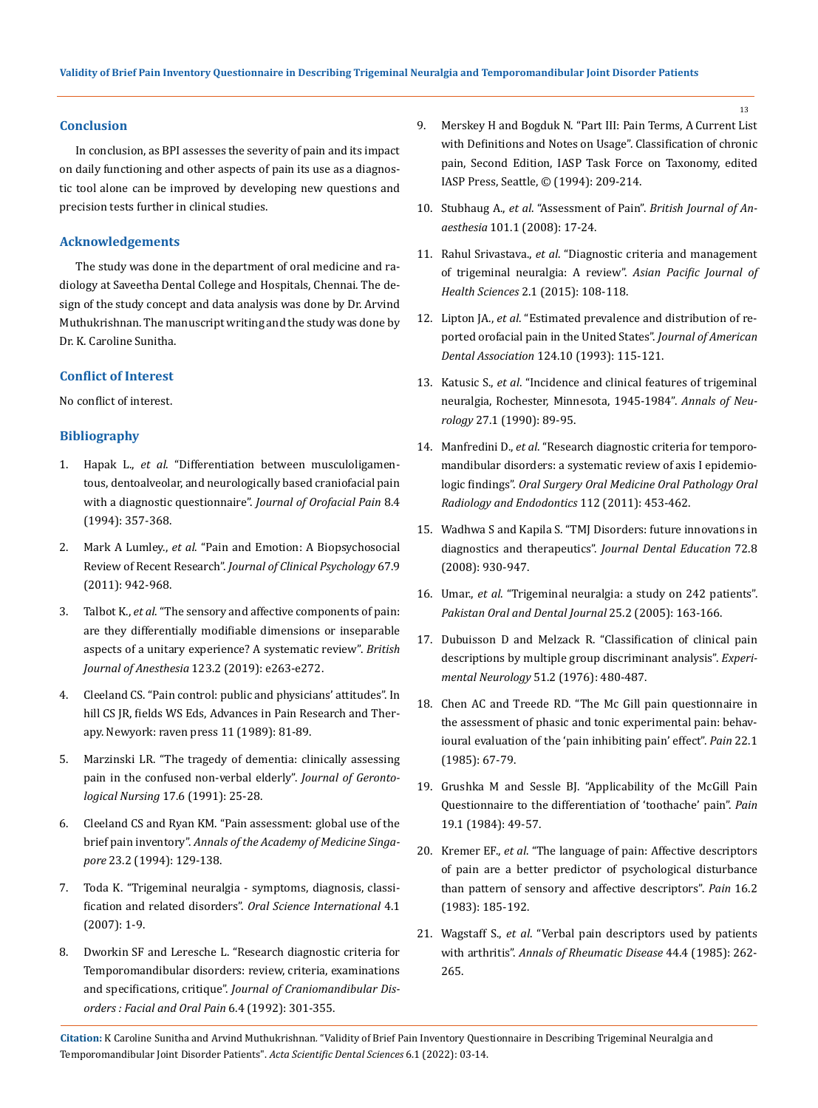## **Conclusion**

In conclusion, as BPI assesses the severity of pain and its impact on daily functioning and other aspects of pain its use as a diagnostic tool alone can be improved by developing new questions and precision tests further in clinical studies.

#### **Acknowledgements**

The study was done in the department of oral medicine and radiology at Saveetha Dental College and Hospitals, Chennai. The design of the study concept and data analysis was done by Dr. Arvind Muthukrishnan. The manuscript writing and the study was done by Dr. K. Caroline Sunitha.

# **Conflict of Interest**

No conflict of interest.

# **Bibliography**

- 1. Hapak L., *et al*[. "Differentiation between musculoligamen](https://pubmed.ncbi.nlm.nih.gov/7670423/)[tous, dentoalveolar, and neurologically based craniofacial pain](https://pubmed.ncbi.nlm.nih.gov/7670423/)  [with a diagnostic questionnaire".](https://pubmed.ncbi.nlm.nih.gov/7670423/) *Journal of Orofacial Pain* 8.4 [\(1994\): 357-368.](https://pubmed.ncbi.nlm.nih.gov/7670423/)
- 2. Mark A Lumley., *et al*[. "Pain and Emotion: A Biopsychosocial](https://www.ncbi.nlm.nih.gov/pmc/articles/PMC3152687/)  Review of Recent Research". *[Journal of Clinical Psychology](https://www.ncbi.nlm.nih.gov/pmc/articles/PMC3152687/)* 67.9 [\(2011\): 942-968.](https://www.ncbi.nlm.nih.gov/pmc/articles/PMC3152687/)
- 3. Talbot K., *et al*[. "The sensory and affective components of pain:](https://www.ncbi.nlm.nih.gov/pmc/articles/PMC6676053/)  [are they differentially modifiable dimensions or inseparable](https://www.ncbi.nlm.nih.gov/pmc/articles/PMC6676053/)  [aspects of a unitary experience? A systematic review".](https://www.ncbi.nlm.nih.gov/pmc/articles/PMC6676053/) *British Journal of Anesthesia* [123.2 \(2019\): e263-e272.](https://www.ncbi.nlm.nih.gov/pmc/articles/PMC6676053/)
- 4. Cleeland CS. "Pain control: public and physicians' attitudes". In hill CS JR, fields WS Eds, Advances in Pain Research and Therapy. Newyork: raven press 11 (1989): 81-89.
- 5. [Marzinski LR. "The tragedy of dementia: clinically assessing](https://pubmed.ncbi.nlm.nih.gov/2033212/)  [pain in the confused non-verbal elderly".](https://pubmed.ncbi.nlm.nih.gov/2033212/) *Journal of Gerontological Nursing* [17.6 \(1991\): 25-28.](https://pubmed.ncbi.nlm.nih.gov/2033212/)
- 6. [Cleeland CS and Ryan KM. "Pain assessment: global use of the](https://pubmed.ncbi.nlm.nih.gov/8080219/)  brief pain inventory". *[Annals of the Academy of Medicine Singa](https://pubmed.ncbi.nlm.nih.gov/8080219/)pore* [23.2 \(1994\): 129-138.](https://pubmed.ncbi.nlm.nih.gov/8080219/)
- 7. [Toda K. "Trigeminal neuralgia symptoms, diagnosis, classi](https://www.sciencedirect.com/science/article/pii/S1348864307800061)[fication and related disorders".](https://www.sciencedirect.com/science/article/pii/S1348864307800061) *Oral Science International* 4.1 [\(2007\): 1-9.](https://www.sciencedirect.com/science/article/pii/S1348864307800061)
- 8. [Dworkin SF and Leresche L. "Research diagnostic criteria for](https://pubmed.ncbi.nlm.nih.gov/1298767/)  [Temporomandibular disorders: review, criteria, examinations](https://pubmed.ncbi.nlm.nih.gov/1298767/)  and specifications, critique". *[Journal of Craniomandibular Dis](https://pubmed.ncbi.nlm.nih.gov/1298767/)[orders : Facial and Oral Pain](https://pubmed.ncbi.nlm.nih.gov/1298767/)* 6.4 (1992): 301-355.

9. Merskey H and Bogduk N. "Part III: Pain Terms, A Current List with Definitions and Notes on Usage". Classification of chronic pain, Second Edition, IASP Task Force on Taxonomy, edited IASP Press, Seattle, © (1994): 209-214.

13

- 10. Stubhaug A., *et al*. "Assessment of Pain". *[British Journal of An](https://bjanaesthesia.org/article/S0007-0912(17)34263-0/fulltext)aesthesia* [101.1 \(2008\): 17-24.](https://bjanaesthesia.org/article/S0007-0912(17)34263-0/fulltext)
- 11. Rahul Srivastava., *et al*[. "Diagnostic criteria and management](https://www.researchgate.net/publication/281833998_Diagnostic_criteria_and_management_of_trigeminal_neuralgia_A_review)  [of trigeminal neuralgia: A review".](https://www.researchgate.net/publication/281833998_Diagnostic_criteria_and_management_of_trigeminal_neuralgia_A_review) *Asian Pacific Journal of Health Sciences* [2.1 \(2015\): 108-118.](https://www.researchgate.net/publication/281833998_Diagnostic_criteria_and_management_of_trigeminal_neuralgia_A_review)
- 12. Lipton JA., *et al*[. "Estimated prevalence and distribution of re](https://pubmed.ncbi.nlm.nih.gov/8409001/)[ported orofacial pain in the United States".](https://pubmed.ncbi.nlm.nih.gov/8409001/) *Journal of American Dental Association* [124.10 \(1993\): 115-121.](https://pubmed.ncbi.nlm.nih.gov/8409001/)
- 13. Katusic S., *et al*[. "Incidence and clinical features of trigeminal](https://pubmed.ncbi.nlm.nih.gov/2301931/)  [neuralgia, Rochester, Minnesota, 1945-1984".](https://pubmed.ncbi.nlm.nih.gov/2301931/) *Annals of Neurology* [27.1 \(1990\): 89-95.](https://pubmed.ncbi.nlm.nih.gov/2301931/)
- 14. Manfredini D., *et al*[. "Research diagnostic criteria for temporo](https://pubmed.ncbi.nlm.nih.gov/21835653/)[mandibular disorders: a systematic review of axis I epidemio](https://pubmed.ncbi.nlm.nih.gov/21835653/)logic findings". *[Oral Surgery Oral Medicine Oral Pathology Oral](https://pubmed.ncbi.nlm.nih.gov/21835653/)  [Radiology and Endodontics](https://pubmed.ncbi.nlm.nih.gov/21835653/)* 112 (2011): 453-462.
- 15. [Wadhwa S and Kapila S. "TMJ Disorders: future innovations in](https://pubmed.ncbi.nlm.nih.gov/18676802/)  diagnostics and therapeutics". *[Journal Dental Education](https://pubmed.ncbi.nlm.nih.gov/18676802/)* 72.8 [\(2008\): 930-947.](https://pubmed.ncbi.nlm.nih.gov/18676802/)
- 16. Umar., *et al*[. "Trigeminal neuralgia: a study on 242 patients".](http://podj.com.pk/archive/PODJ/Vol.%2025%20(2)%20(Dec.%202005)/25-02-163-166.pdf)  *[Pakistan Oral and Dental Journal](http://podj.com.pk/archive/PODJ/Vol.%2025%20(2)%20(Dec.%202005)/25-02-163-166.pdf)* 25.2 (2005): 163-166.
- 17. [Dubuisson D and Melzack R. "Classification of clinical pain](https://pubmed.ncbi.nlm.nih.gov/1269574/)  [descriptions by multiple group discriminant analysis".](https://pubmed.ncbi.nlm.nih.gov/1269574/) *Experimental Neurology* [51.2 \(1976\): 480-487.](https://pubmed.ncbi.nlm.nih.gov/1269574/)
- 18. [Chen AC and Treede RD. "The Mc Gill pain questionnaire in](https://pubmed.ncbi.nlm.nih.gov/4011284/)  [the assessment of phasic and tonic experimental pain: behav](https://pubmed.ncbi.nlm.nih.gov/4011284/)[ioural evaluation of the 'pain inhibiting pain' effect".](https://pubmed.ncbi.nlm.nih.gov/4011284/) *Pain* 22.1 [\(1985\): 67-79.](https://pubmed.ncbi.nlm.nih.gov/4011284/)
- 19. [Grushka M and Sessle BJ. "Applicability of the McGill Pain](https://pubmed.ncbi.nlm.nih.gov/6739113/)  [Questionnaire to the differentiation of 'toothache' pain".](https://pubmed.ncbi.nlm.nih.gov/6739113/) *Pain* [19.1 \(1984\): 49-57.](https://pubmed.ncbi.nlm.nih.gov/6739113/)
- 20. Kremer EF., *et al*[. "The language of pain: Affective descriptors](https://pubmed.ncbi.nlm.nih.gov/6877847/)  [of pain are a better predictor of psychological disturbance](https://pubmed.ncbi.nlm.nih.gov/6877847/)  [than pattern of sensory and affective descriptors".](https://pubmed.ncbi.nlm.nih.gov/6877847/) *Pain* 16.2 [\(1983\): 185-192.](https://pubmed.ncbi.nlm.nih.gov/6877847/)
- 21. Wagstaff S., *et al*[. "Verbal pain descriptors used by patients](https://pubmed.ncbi.nlm.nih.gov/3985692/)  with arthritis". *[Annals of Rheumatic Disease](https://pubmed.ncbi.nlm.nih.gov/3985692/)* 44.4 (1985): 262- [265.](https://pubmed.ncbi.nlm.nih.gov/3985692/)